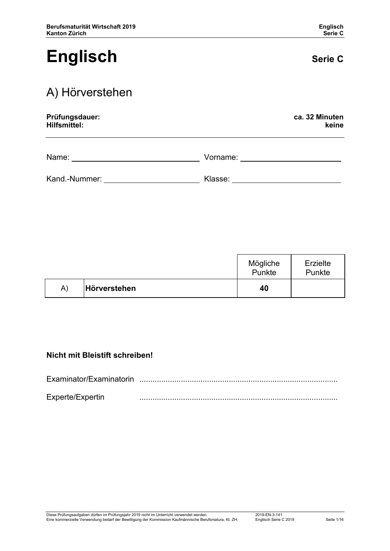# **Englisch Serie C**

## A) Hörverstehen

| Prüfungsdauer: | ca. 32 Minuten |
|----------------|----------------|
| Hilfsmittel:   | keine          |
|                |                |

Name: <u>Name: 2008 Name: 2008 Name: 2008 Normanne: 2008 Normanne: 2008 Normanne: 2008 Normanne: 2008 Normanne: 2008 Normanne: 2008 Normanne: 2008 Normanne: 2008 Normanne: 2008 Normanne: 2008 Normanne: 2008 Normanne: 2008 No</u>

| Kand.-Nummer: | Klasse: |  |
|---------------|---------|--|
|               |         |  |

|    |              | Mögliche<br>Punkte | Erzielte<br>Punkte |
|----|--------------|--------------------|--------------------|
| A) | Hörverstehen | 40                 |                    |

### **Nicht mit Bleistift schreiben!**

Examinator/Examinatorin ........................................................................................... Experte/Expertin ...........................................................................................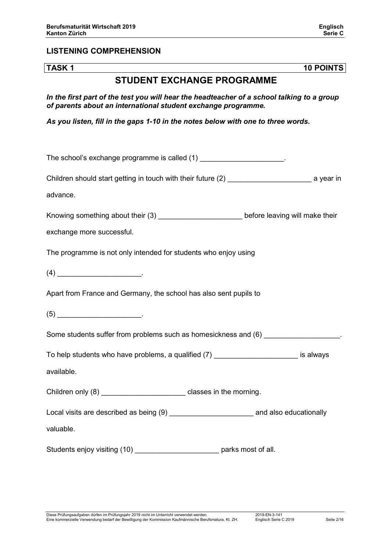#### **LISTENING COMPREHENSION**

**TASK 1 10 POINTS**

### **STUDENT EXCHANGE PROGRAMME**

*In the first part of the test you will hear the headteacher of a school talking to a group of parents about an international student exchange programme.*

*As you listen, fill in the gaps 1-10 in the notes below with one to three words.*

The school's exchange programme is called (1) The school's exchange programme is called (1) Children should start getting in touch with their future (2) \_\_\_\_\_\_\_\_\_\_\_\_\_\_\_\_\_\_\_\_\_ a year in advance. Knowing something about their (3) \_\_\_\_\_\_\_\_\_\_\_\_\_\_\_\_\_\_\_\_\_\_\_\_\_\_\_\_before leaving will make their exchange more successful. The programme is not only intended for students who enjoy using  $(4)$ Apart from France and Germany, the school has also sent pupils to  $(5)$   $\qquad \qquad \ldots$ Some students suffer from problems such as homesickness and (6) \_\_\_\_\_\_\_\_\_\_\_\_\_\_\_\_ To help students who have problems, a qualified (7) To help students who have problems, a qualified (7) available. Children only (8) Children only (8) Children only (8) Children only (8) Children only (8) Local visits are described as being (9) **Local visits are described as being (9)** Local and also educationally valuable. Students enjoy visiting (10) \_\_\_\_\_\_\_\_\_\_\_\_\_\_\_\_\_\_\_\_\_\_\_\_\_\_\_\_ parks most of all.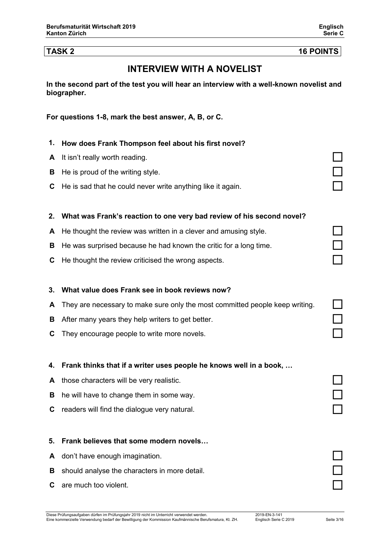#### **TASK 2 16 POINTS**

### **INTERVIEW WITH A NOVELIST**

**In the second part of the test you will hear an interview with a well-known novelist and biographer.**

**For questions 1-8, mark the best answer, A, B, or C.** 

- **1. How does Frank Thompson feel about his first novel?**
- **<sup>A</sup>** It isn't really worth reading.
- **B** He is proud of the writing style.
- **<sup>C</sup>** He is sad that he could never write anything like it again.

#### **2. What was Frank's reaction to one very bad review of his second novel?**

- **<sup>A</sup>** He thought the review was written in a clever and amusing style.
- **<sup>B</sup>** He was surprised because he had known the critic for a long time.
- **<sup>C</sup>** He thought the review criticised the wrong aspects.

#### **3. What value does Frank see in book reviews now?**

- **<sup>A</sup>** They are necessary to make sure only the most committed people keep writing.
- **<sup>B</sup>** After many years they help writers to get better.
- **<sup>C</sup>** They encourage people to write more novels.

#### **4. Frank thinks that if a writer uses people he knows well in a book, …**

- **<sup>A</sup>** those characters will be very realistic.
- **B** he will have to change them in some way.
- **<sup>C</sup>** readers will find the dialogue very natural.

#### **5. Frank believes that some modern novels…**

- **<sup>A</sup>** don't have enough imagination.
- **<sup>B</sup>** should analyse the characters in more detail.
- **<sup>C</sup>** are much too violent.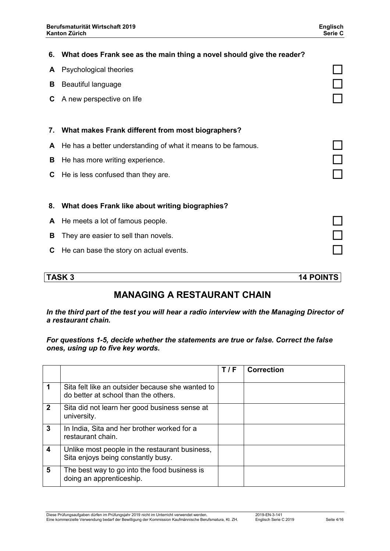|    | 6. What does Frank see as the main thing a novel should give the reader? |  |
|----|--------------------------------------------------------------------------|--|
| A  | Psychological theories                                                   |  |
| В  | Beautiful language                                                       |  |
| C  | A new perspective on life                                                |  |
|    |                                                                          |  |
| 7. | What makes Frank different from most biographers?                        |  |
| A  | He has a better understanding of what it means to be famous.             |  |
| В  | He has more writing experience.                                          |  |
| C  | He is less confused than they are.                                       |  |
|    |                                                                          |  |
| 8. | What does Frank like about writing biographies?                          |  |
| A  | He meets a lot of famous people.                                         |  |
| в  | They are easier to sell than novels.                                     |  |
| С  | He can base the story on actual events.                                  |  |
|    |                                                                          |  |

**TASK 3 14 POINTS**

## **MANAGING A RESTAURANT CHAIN**

*In the third part of the test you will hear a radio interview with the Managing Director of a restaurant chain.*

*For questions 1-5, decide whether the statements are true or false. Correct the false ones, using up to five key words.*

|             |                                                                                          | T/F | <b>Correction</b> |
|-------------|------------------------------------------------------------------------------------------|-----|-------------------|
|             | Sita felt like an outsider because she wanted to<br>do better at school than the others. |     |                   |
| $\mathbf 2$ | Sita did not learn her good business sense at<br>university.                             |     |                   |
| 3           | In India, Sita and her brother worked for a<br>restaurant chain.                         |     |                   |
| 4           | Unlike most people in the restaurant business,<br>Sita enjoys being constantly busy.     |     |                   |
| 5           | The best way to go into the food business is<br>doing an apprenticeship.                 |     |                   |

Diese Prüfungsaufgaben dürfen im Prüfungsjahr 2019 nicht im Unterricht verwendet werden. 2019-EN-3-141 Eine kommerzielle Verwendung bedarf der Bewilligung der Kommission Kaufmännische Berufsmatura, Kt. ZH. Englisch Serie C 2019 Seite 4/16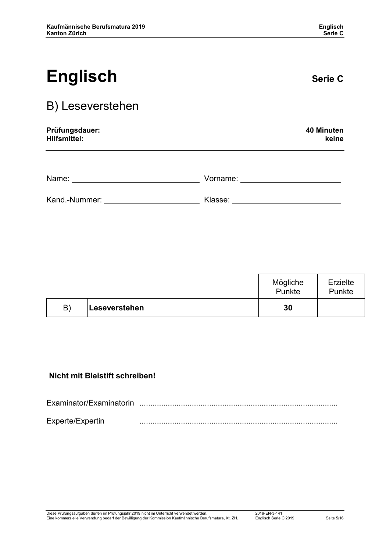# **Englisch Serie C**

# B) Leseverstehen

| Prüfungsdauer: | 40 Minuten |
|----------------|------------|
| Hilfsmittel:   | keine      |
|                |            |

| Name:         | Vorname: |  |
|---------------|----------|--|
| Kand.-Nummer: | Klasse:  |  |

|    |               | Mögliche<br>Punkte | <b>Erzielte</b><br>Punkte |
|----|---------------|--------------------|---------------------------|
| B) | Leseverstehen | 30                 |                           |

### **Nicht mit Bleistift schreiben!**

| Examinator/Examinatorin |   |
|-------------------------|---|
| Experte/Expertin        | . |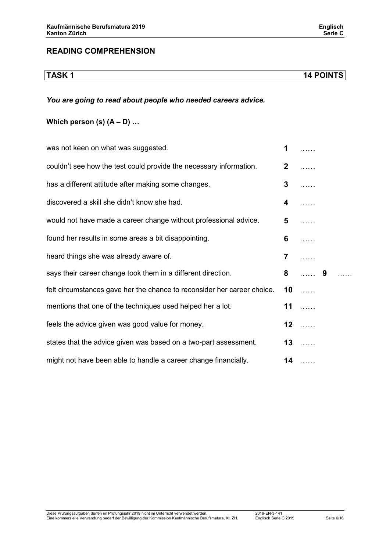#### **READING COMPREHENSION**

**TASK 1 14 POINTS**

#### *You are going to read about people who needed careers advice.*

### **Which person (s)**  $(A - D)$  **...**

| was not keen on what was suggested.                                     | 1              |      |   |  |
|-------------------------------------------------------------------------|----------------|------|---|--|
| couldn't see how the test could provide the necessary information.      | $\mathbf{2}$   |      |   |  |
| has a different attitude after making some changes.                     | 3              |      |   |  |
| discovered a skill she didn't know she had.                             | 4              |      |   |  |
| would not have made a career change without professional advice.        | 5              |      |   |  |
| found her results in some areas a bit disappointing.                    | 6              |      |   |  |
| heard things she was already aware of.                                  | $\overline{7}$ |      |   |  |
| says their career change took them in a different direction.            | 8              |      | 9 |  |
| felt circumstances gave her the chance to reconsider her career choice. |                | $10$ |   |  |
| mentions that one of the techniques used helped her a lot.              |                | $11$ |   |  |
| feels the advice given was good value for money.                        |                | $12$ |   |  |
| states that the advice given was based on a two-part assessment.        |                | $13$ |   |  |
| might not have been able to handle a career change financially.         |                | $14$ |   |  |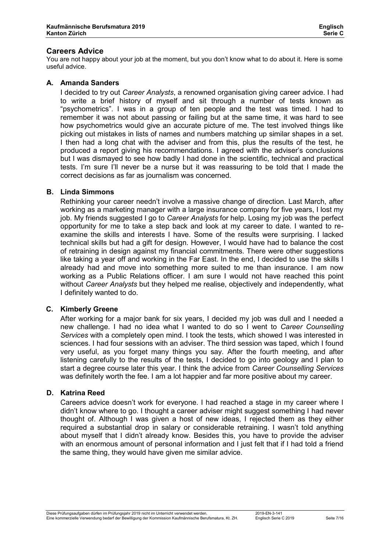#### **Careers Advice**

You are not happy about your job at the moment, but you don't know what to do about it. Here is some useful advice.

#### **A. Amanda Sanders**

I decided to try out *Career Analysts*, a renowned organisation giving career advice. I had to write a brief history of myself and sit through a number of tests known as "psychometrics". I was in a group of ten people and the test was timed. I had to remember it was not about passing or failing but at the same time, it was hard to see how psychometrics would give an accurate picture of me. The test involved things like picking out mistakes in lists of names and numbers matching up similar shapes in a set. I then had a long chat with the adviser and from this, plus the results of the test, he produced a report giving his recommendations. I agreed with the adviser's conclusions but I was dismayed to see how badly I had done in the scientific, technical and practical tests. I'm sure I'll never be a nurse but it was reassuring to be told that I made the correct decisions as far as journalism was concerned.

#### **B. Linda Simmons**

Rethinking your career needn't involve a massive change of direction. Last March, after working as a marketing manager with a large insurance company for five years, I lost my job. My friends suggested I go to *Career Analysts* for help. Losing my job was the perfect opportunity for me to take a step back and look at my career to date. I wanted to reexamine the skills and interests I have. Some of the results were surprising. I lacked technical skills but had a gift for design. However, I would have had to balance the cost of retraining in design against my financial commitments. There were other suggestions like taking a year off and working in the Far East. In the end, I decided to use the skills I already had and move into something more suited to me than insurance. I am now working as a Public Relations officer. I am sure I would not have reached this point without *Career Analysts* but they helped me realise, objectively and independently, what I definitely wanted to do.

#### **C. Kimberly Greene**

After working for a major bank for six years, I decided my job was dull and I needed a new challenge. I had no idea what I wanted to do so I went to *Career Counselling Services* with a completely open mind. I took the tests, which showed I was interested in sciences. I had four sessions with an adviser. The third session was taped, which I found very useful, as you forget many things you say. After the fourth meeting, and after listening carefully to the results of the tests, I decided to go into geology and I plan to start a degree course later this year. I think the advice from *Career Counselling Services* was definitely worth the fee. I am a lot happier and far more positive about my career.

#### **D. Katrina Reed**

Careers advice doesn't work for everyone. I had reached a stage in my career where I didn't know where to go. I thought a career adviser might suggest something I had never thought of. Although I was given a host of new ideas, I rejected them as they either required a substantial drop in salary or considerable retraining. I wasn't told anything about myself that I didn't already know. Besides this, you have to provide the adviser with an enormous amount of personal information and I just felt that if I had told a friend the same thing, they would have given me similar advice.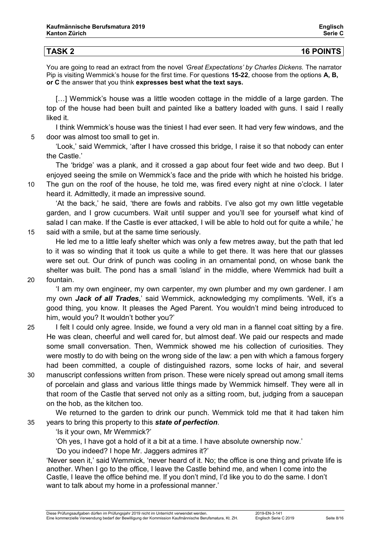| <b>TASK 2</b> | <b>16 POINTS</b> |
|---------------|------------------|

You are going to read an extract from the novel *'Great Expectations' by Charles Dickens.* The narrator Pip is visiting Wemmick's house for the first time. For questions **15-22**, choose from the options **A, B, or C** the answer that you think **expresses best what the text says.**

[...] Wemmick's house was a little wooden cottage in the middle of a large garden. The top of the house had been built and painted like a battery loaded with guns. I said I really liked it.

I think Wemmick's house was the tiniest I had ever seen. It had very few windows, and the 5 door was almost too small to get in.

'Look,' said Wemmick, 'after I have crossed this bridge, I raise it so that nobody can enter the Castle.'

The 'bridge' was a plank, and it crossed a gap about four feet wide and two deep. But I enjoyed seeing the smile on Wemmick's face and the pride with which he hoisted his bridge.

10 The gun on the roof of the house, he told me, was fired every night at nine o'clock. I later heard it. Admittedly, it made an impressive sound.

'At the back,' he said, 'there are fowls and rabbits. I've also got my own little vegetable garden, and I grow cucumbers. Wait until supper and you'll see for yourself what kind of salad I can make. If the Castle is ever attacked, I will be able to hold out for quite a while,' he 15 said with a smile, but at the same time seriously.

He led me to a little leafy shelter which was only a few metres away, but the path that led to it was so winding that it took us quite a while to get there. It was here that our glasses were set out. Our drink of punch was cooling in an ornamental pond, on whose bank the shelter was built. The pond has a small 'island' in the middle, where Wemmick had built a 20 fountain.

'I am my own engineer, my own carpenter, my own plumber and my own gardener. I am my own *Jack of all Trades*,' said Wemmick, acknowledging my compliments. 'Well, it's a good thing, you know. It pleases the Aged Parent. You wouldn't mind being introduced to him, would you? It wouldn't bother you?'

- 25 I felt I could only agree. Inside, we found a very old man in a flannel coat sitting by a fire. He was clean, cheerful and well cared for, but almost deaf. We paid our respects and made some small conversation. Then, Wemmick showed me his collection of curiosities. They were mostly to do with being on the wrong side of the law: a pen with which a famous forgery had been committed, a couple of distinguished razors, some locks of hair, and several
- 30 manuscript confessions written from prison. These were nicely spread out among small items of porcelain and glass and various little things made by Wemmick himself. They were all in that room of the Castle that served not only as a sitting room, but, judging from a saucepan on the hob, as the kitchen too.

We returned to the garden to drink our punch. Wemmick told me that it had taken him 35 years to bring this property to this *state of perfection*.

'Is it your own, Mr Wemmick?'

'Oh yes, I have got a hold of it a bit at a time. I have absolute ownership now.'

'Do you indeed? I hope Mr. Jaggers admires it?'

'Never seen it,' said Wemmick, 'never heard of it. No; the office is one thing and private life is another. When I go to the office, I leave the Castle behind me, and when I come into the Castle, I leave the office behind me. If you don't mind, I'd like you to do the same. I don't want to talk about my home in a professional manner.'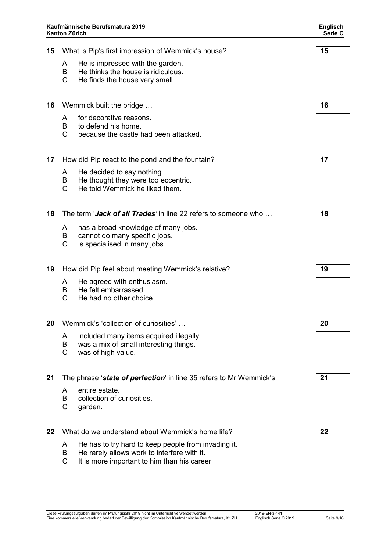|    | Kaufmännische Berufsmatura 2019<br>Kanton Zürich                                                                              | <b>Englisch</b><br>Serie C |
|----|-------------------------------------------------------------------------------------------------------------------------------|----------------------------|
| 15 | What is Pip's first impression of Wemmick's house?                                                                            | 15                         |
|    | He is impressed with the garden.<br>A<br>He thinks the house is ridiculous.<br>B<br>C<br>He finds the house very small.       |                            |
| 16 | Wemmick built the bridge                                                                                                      | 16                         |
|    | for decorative reasons.<br>A<br>to defend his home.<br>B<br>$\mathsf{C}$<br>because the castle had been attacked.             |                            |
| 17 | How did Pip react to the pond and the fountain?                                                                               | 17                         |
|    | He decided to say nothing.<br>A<br>He thought they were too eccentric.<br>B<br>$\mathsf{C}$<br>He told Wemmick he liked them. |                            |
| 18 | The term 'Jack of all Trades' in line 22 refers to someone who                                                                | 18                         |
|    | has a broad knowledge of many jobs.<br>A<br>cannot do many specific jobs.<br>в<br>C<br>is specialised in many jobs.           |                            |
| 19 | How did Pip feel about meeting Wemmick's relative?                                                                            | 19                         |
|    | He agreed with enthusiasm.<br>A<br>В<br>He felt embarrassed.<br>He had no other choice.<br>С                                  |                            |
| 20 | Wemmick's 'collection of curiosities'                                                                                         | 20                         |
|    | included many items acquired illegally.<br>A<br>was a mix of small interesting things.<br>B<br>C<br>was of high value.        |                            |
| 21 | The phrase 'state of perfection' in line 35 refers to Mr Wemmick's                                                            | 21                         |

- A entire estate.<br>B collection of c
- B collection of curiosities.<br>C garden.
- garden.
- **22** What do we understand about Wemmick's home life? **22**
	- A He has to try hard to keep people from invading it.
	- B He rarely allows work to interfere with it.
	- C It is more important to him than his career.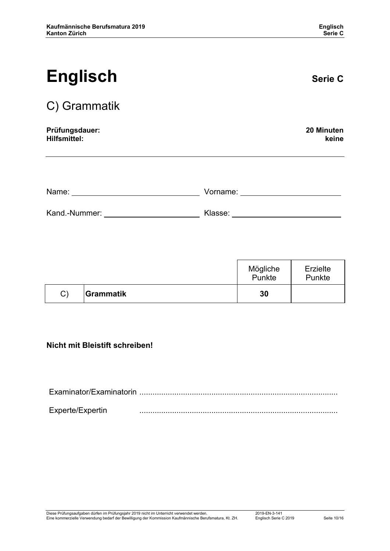| <b>Englisch</b>                       |          | <b>Serie C</b>      |
|---------------------------------------|----------|---------------------|
| C) Grammatik                          |          |                     |
| Prüfungsdauer:<br><b>Hilfsmittel:</b> |          | 20 Minuten<br>keine |
|                                       |          |                     |
| Name:                                 | Vorname: |                     |
| Kand.-Nummer:                         | Klasse:  |                     |

|    |                  | Mögliche<br>Punkte | Erzielte<br>Punkte |
|----|------------------|--------------------|--------------------|
| C) | <b>Grammatik</b> | 30                 |                    |

### **Nicht mit Bleistift schreiben!**

| Experte/Expertin |  |
|------------------|--|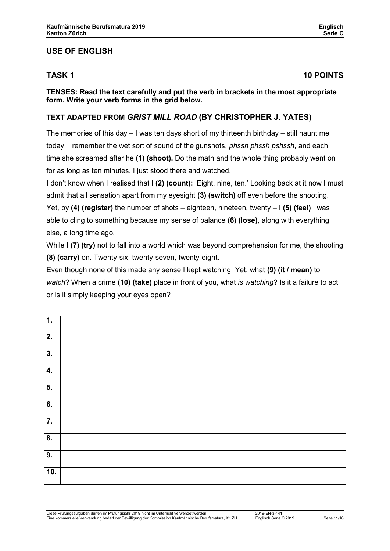### **USE OF ENGLISH**

| <b>TASK1</b> | <b>10 POINTS</b> |
|--------------|------------------|

**TENSES: Read the text carefully and put the verb in brackets in the most appropriate form. Write your verb forms in the grid below.**

### **TEXT ADAPTED FROM** *GRIST MILL ROAD* **(BY CHRISTOPHER J. YATES)**

The memories of this day  $-1$  was ten days short of my thirteenth birthday  $-$  still haunt me today. I remember the wet sort of sound of the gunshots, *phssh phssh pshssh*, and each time she screamed after he **(1) (shoot).** Do the math and the whole thing probably went on for as long as ten minutes. I just stood there and watched.

I don't know when I realised that I **(2) (count):** 'Eight, nine, ten.' Looking back at it now I must admit that all sensation apart from my eyesight **(3) (switch)** off even before the shooting.

Yet, by **(4) (register)** the number of shots – eighteen, nineteen, twenty – I **(5) (feel)** I was able to cling to something because my sense of balance **(6) (lose)**, along with everything else, a long time ago.

While I **(7) (try)** not to fall into a world which was beyond comprehension for me, the shooting **(8) (carry)** on. Twenty-six, twenty-seven, twenty-eight.

Even though none of this made any sense I kept watching. Yet, what **(9) (it / mean)** to *watch*? When a crime **(10) (take)** place in front of you, what *is watching*? Is it a failure to act or is it simply keeping your eyes open?

| $\overline{1}$ . |  |
|------------------|--|
| $\overline{2}$ . |  |
| $\overline{3}$ . |  |
| $\overline{4}$ . |  |
| $\overline{5}$ . |  |
| $\overline{6}$ . |  |
| $\overline{7}$ . |  |
| $\overline{8}$ . |  |
| $\overline{9}$ . |  |
| 10.              |  |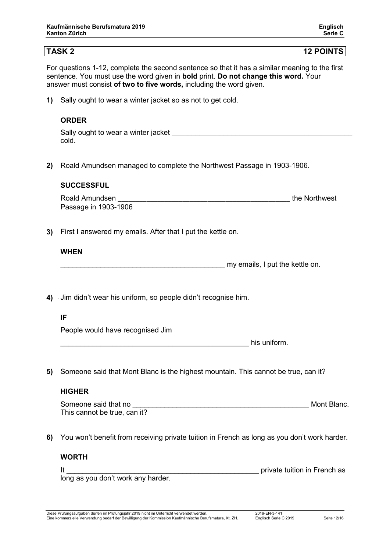**TASK 2 12 POINTS**

For questions 1-12, complete the second sentence so that it has a similar meaning to the first sentence. You must use the word given in **bold** print. **Do not change this word.** Your answer must consist **of two to five words,** including the word given.

**1)** Sally ought to wear a winter jacket so as not to get cold.

#### **ORDER**

| Sally ought to wear a winter jacket |  |
|-------------------------------------|--|
| cold                                |  |

**2)** 2Roald Amundsen managed to complete the Northwest Passage in 1903-1906.

#### **SUCCESSFUL**

| Roald Amundsen       | the Northwest |
|----------------------|---------------|
| Passage in 1903-1906 |               |

**3)** First I answered my emails. After that I put the kettle on.

#### **WHEN**

my emails, I put the kettle on.

**4)** Jim didn't wear his uniform, so people didn't recognise him.

#### **IF**

People would have recognised Jim

his uniform.

**5)** Someone said that Mont Blanc is the highest mountain. This cannot be true, can it?

#### **HIGHER**

Someone said that no **Example 20** Someone said that no **Example 20** Someone said that no This cannot be true, can it?

**6)** You won't benefit from receiving private tuition in French as long as you don't work harder.

#### **WORTH**

It Let the state of the state of the state of the state of the private tuition in French as

long as you don't work any harder.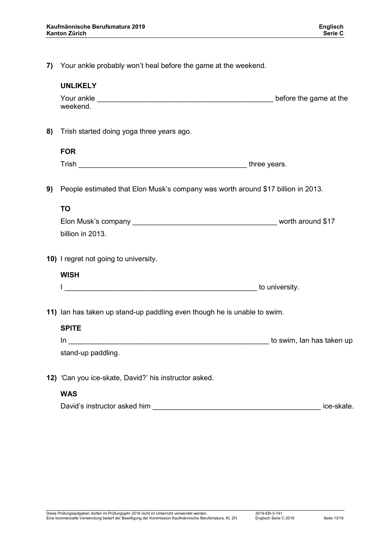**7)** Your ankle probably won't heal before the game at the weekend.

|    | <b>UNLIKELY</b>                                                                                                |                        |
|----|----------------------------------------------------------------------------------------------------------------|------------------------|
|    | weekend.                                                                                                       | before the game at the |
| 8) | Trish started doing yoga three years ago.                                                                      |                        |
|    | <b>FOR</b>                                                                                                     |                        |
|    | Trish https://www.archive.com/www.archive.com/www.archive.com/www.archive.com/www.archive.com/www.archive.com/ |                        |
| 9) | People estimated that Elon Musk's company was worth around \$17 billion in 2013.                               |                        |
|    | <b>TO</b>                                                                                                      |                        |
|    |                                                                                                                |                        |
|    | billion in 2013.                                                                                               |                        |
|    | 10) I regret not going to university.                                                                          |                        |
|    | <b>WISH</b>                                                                                                    |                        |
|    |                                                                                                                |                        |
|    | 11) Ian has taken up stand-up paddling even though he is unable to swim.                                       |                        |
|    | <b>SPITE</b>                                                                                                   |                        |
|    |                                                                                                                |                        |
|    | stand-up paddling.                                                                                             |                        |
|    | 12) 'Can you ice-skate, David?' his instructor asked.                                                          |                        |
|    | <b>WAS</b>                                                                                                     |                        |
|    | David's instructor asked him                                                                                   | ice-skate.             |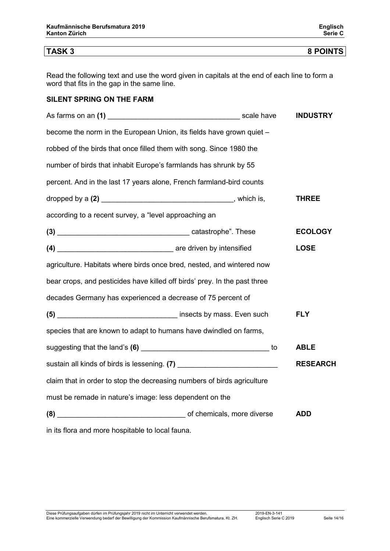Read the following text and use the word given in capitals at the end of each line to form a word that fits in the gap in the same line.

#### **SILENT SPRING ON THE FARM**

|                                                                           |  |  | <b>INDUSTRY</b> |
|---------------------------------------------------------------------------|--|--|-----------------|
| become the norm in the European Union, its fields have grown quiet -      |  |  |                 |
| robbed of the birds that once filled them with song. Since 1980 the       |  |  |                 |
| number of birds that inhabit Europe's farmlands has shrunk by 55          |  |  |                 |
| percent. And in the last 17 years alone, French farmland-bird counts      |  |  |                 |
|                                                                           |  |  | THREE           |
| according to a recent survey, a "level approaching an                     |  |  |                 |
|                                                                           |  |  | <b>ECOLOGY</b>  |
|                                                                           |  |  | <b>LOSE</b>     |
| agriculture. Habitats where birds once bred, nested, and wintered now     |  |  |                 |
| bear crops, and pesticides have killed off birds' prey. In the past three |  |  |                 |
| decades Germany has experienced a decrease of 75 percent of               |  |  |                 |
|                                                                           |  |  | <b>FLY</b>      |
| species that are known to adapt to humans have dwindled on farms,         |  |  |                 |
|                                                                           |  |  | <b>ABLE</b>     |
|                                                                           |  |  | <b>RESEARCH</b> |
| claim that in order to stop the decreasing numbers of birds agriculture   |  |  |                 |
| must be remade in nature's image: less dependent on the                   |  |  |                 |
| (8) (8) CONFIDENTIAL CONTINUITY Of chemicals, more diverse                |  |  | <b>ADD</b>      |
| in its flora and more hospitable to local fauna.                          |  |  |                 |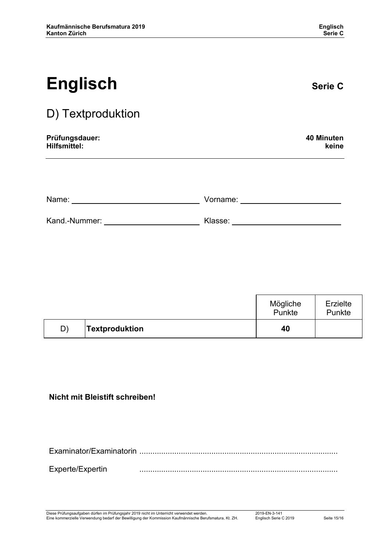| <b>Englisch</b>   | <b>Serie C</b> |
|-------------------|----------------|
| D) Textproduktion |                |

| Prüfungsdauer: | 40 Minuten |
|----------------|------------|
| Hilfsmittel:   | keine      |

| Name:         | Vorname: |  |
|---------------|----------|--|
| Kand.-Nummer: | Klasse:  |  |

|    |                       | Mögliche<br>Punkte | Erzielte<br><b>Punkte</b> |
|----|-----------------------|--------------------|---------------------------|
| D) | <b>Textproduktion</b> | 40                 |                           |

### **Nicht mit Bleistift schreiben!**

Examinator/Examinatorin ........................................................................................... Experte/Expertin ...........................................................................................